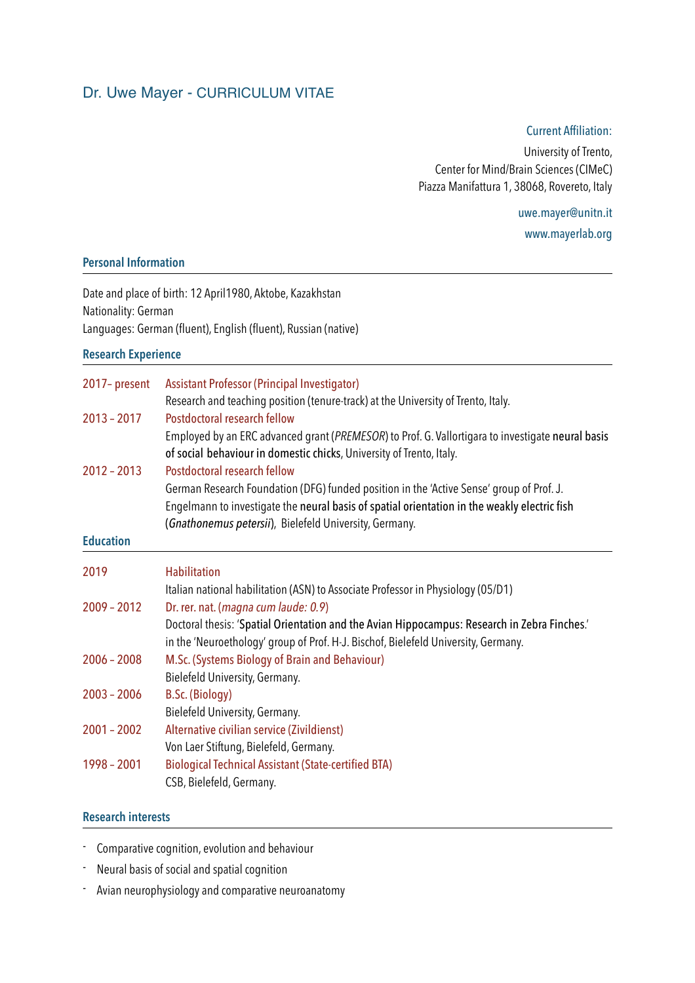# Dr. Uwe Mayer - CURRICULUM VITAE

#### Current Affiliation:

University of Trento, Center for Mind/Brain Sciences (CIMeC) Piazza Manifattura 1, 38068, Rovereto, Italy

> uwe.mayer@unitn.it [www.mayerlab.org](http://www.mayerlab.org)

# **Personal Information**

Date and place of birth: 12 April1980, Aktobe, Kazakhstan Nationality: German Languages: German (fluent), English (fluent), Russian (native)

#### **Research Experience**

| 2017-present                                                                                      | Assistant Professor (Principal Investigator)<br>Research and teaching position (tenure-track) at the University of Trento, Italy. |
|---------------------------------------------------------------------------------------------------|-----------------------------------------------------------------------------------------------------------------------------------|
|                                                                                                   |                                                                                                                                   |
| Employed by an ERC advanced grant (PREMESOR) to Prof. G. Vallortigara to investigate neural basis |                                                                                                                                   |
| of social behaviour in domestic chicks, University of Trento, Italy.                              |                                                                                                                                   |
| $2012 - 2013$                                                                                     | <b>Postdoctoral research fellow</b>                                                                                               |
|                                                                                                   | German Research Foundation (DFG) funded position in the 'Active Sense' group of Prof. J.                                          |
|                                                                                                   | Engelmann to investigate the neural basis of spatial orientation in the weakly electric fish                                      |
|                                                                                                   | (Gnathonemus petersii), Bielefeld University, Germany.                                                                            |
| <b>Education</b>                                                                                  |                                                                                                                                   |
| 2019                                                                                              | <b>Habilitation</b>                                                                                                               |
|                                                                                                   | Italian national habilitation (ASN) to Associate Professor in Physiology (05/D1)                                                  |
| $2009 - 2012$                                                                                     | Dr. rer. nat. (magna cum laude: 0.9)                                                                                              |
|                                                                                                   | Doctoral thesis: 'Spatial Orientation and the Avian Hippocampus: Research in Zebra Finches.'                                      |
|                                                                                                   | in the 'Neuroethology' group of Prof. H-J. Bischof, Bielefeld University, Germany.                                                |
| $2006 - 2008$                                                                                     | M.Sc. (Systems Biology of Brain and Behaviour)                                                                                    |
|                                                                                                   | Bielefeld University, Germany.                                                                                                    |
| $2003 - 2006$                                                                                     | <b>B.Sc. (Biology)</b>                                                                                                            |
|                                                                                                   | Bielefeld University, Germany.                                                                                                    |
| $2001 - 2002$                                                                                     | Alternative civilian service (Zivildienst)                                                                                        |
|                                                                                                   | Von Laer Stiftung, Bielefeld, Germany.                                                                                            |
| 1998 - 2001                                                                                       | <b>Biological Technical Assistant (State-certified BTA)</b>                                                                       |
|                                                                                                   | CSB, Bielefeld, Germany.                                                                                                          |

### **Research interests**

- Comparative cognition, evolution and behaviour
- Neural basis of social and spatial cognition
- Avian neurophysiology and comparative neuroanatomy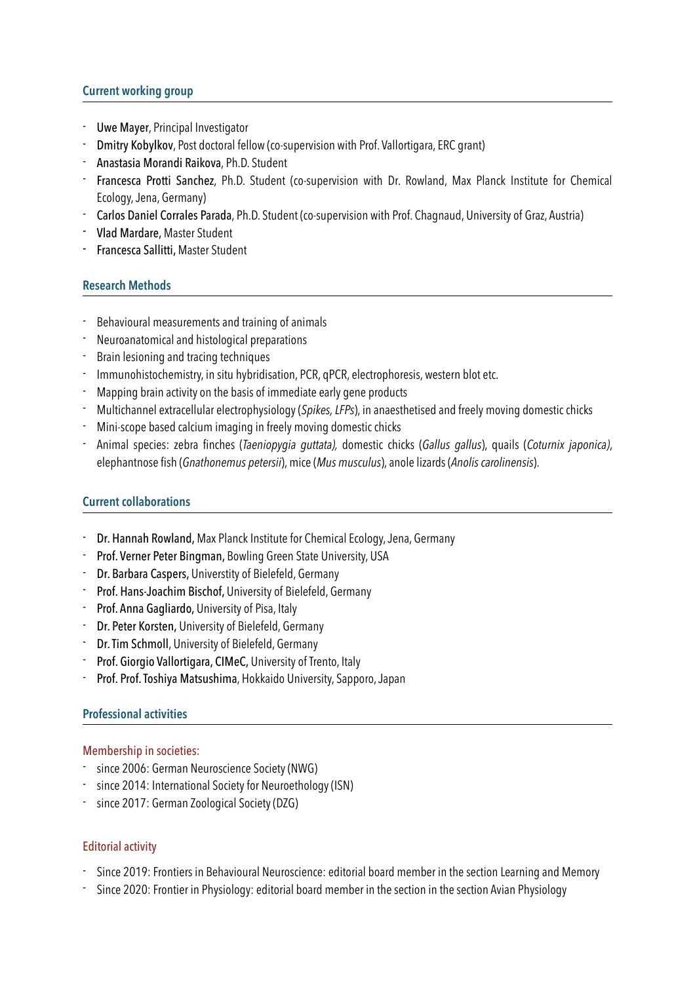# **Current working group**

- Uwe Mayer, Principal Investigator
- Dmitry Kobylkov, Post doctoral fellow (co-supervision with Prof. Vallortigara, ERC grant)
- Anastasia Morandi Raikova, Ph.D. Student
- Francesca Protti Sanchez, Ph.D. Student (co-supervision with Dr. Rowland, Max Planck Institute for Chemical Ecology, Jena, Germany)
- Carlos Daniel Corrales Parada, Ph.D. Student (co-supervision with Prof. Chagnaud, University of Graz, Austria)
- Vlad Mardare, Master Student
- Francesca Sallitti, Master Student

# **Research Methods**

- Behavioural measurements and training of animals
- Neuroanatomical and histological preparations
- Brain lesioning and tracing techniques
- Immunohistochemistry, in situ hybridisation, PCR, qPCR, electrophoresis, western blot etc.
- Mapping brain activity on the basis of immediate early gene products
- Multichannel extracellular electrophysiology (*Spikes, LFPs*), in anaesthetised and freely moving domestic chicks
- Mini-scope based calcium imaging in freely moving domestic chicks
- Animal species: zebra finches (*Taeniopygia guttata),* domestic chicks (*Gallus gallus*), quails (*Coturnix japonica)*, elephantnose fish (*Gnathonemus petersii*), mice (*Mus musculus*), anole lizards (*Anolis carolinensis*).

### **Current collaborations**

- Dr. Hannah Rowland, Max Planck Institute for Chemical Ecology, Jena, Germany
- Prof. Verner Peter Bingman, Bowling Green State University, USA
- Dr. Barbara Caspers, Universtity of Bielefeld, Germany
- Prof. Hans-Joachim Bischof, University of Bielefeld, Germany
- Prof. Anna Gagliardo, University of Pisa, Italy
- Dr. Peter Korsten, University of Bielefeld, Germany
- Dr. Tim Schmoll, University of Bielefeld, Germany
- Prof. Giorgio Vallortigara, CIMeC, University of Trento, Italy
- Prof. Prof. Toshiya Matsushima, Hokkaido University, Sapporo, Japan

### **Professional activities**

### Membership in societies:

- since 2006: German Neuroscience Society (NWG)
- since 2014: International Society for Neuroethology (ISN)
- since 2017: German Zoological Society (DZG)

# Editorial activity

- Since 2019: Frontiers in Behavioural Neuroscience: editorial board member in the section Learning and Memory
- Since 2020: Frontier in Physiology: editorial board member in the section in the section Avian Physiology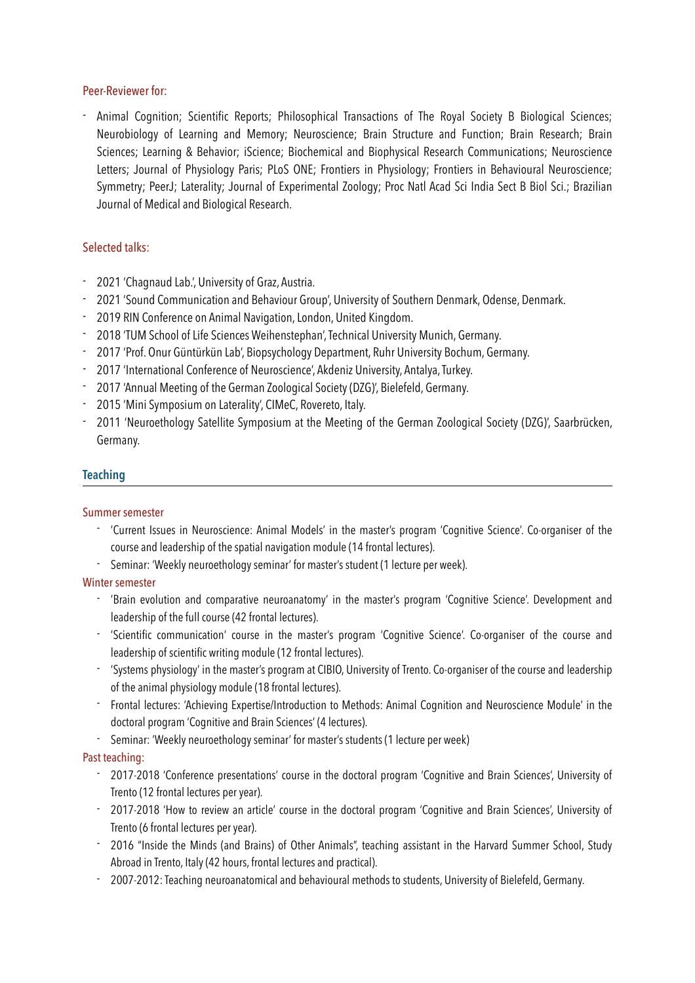### Peer-Reviewer for:

- Animal Cognition; Scientific Reports; Philosophical Transactions of The Royal Society B Biological Sciences; Neurobiology of Learning and Memory; Neuroscience; Brain Structure and Function; Brain Research; Brain Sciences; Learning & Behavior; iScience; Biochemical and Biophysical Research Communications; Neuroscience Letters; Journal of Physiology Paris; PLoS ONE; Frontiers in Physiology; Frontiers in Behavioural Neuroscience; Symmetry; PeerJ; Laterality; Journal of Experimental Zoology; Proc Natl Acad Sci India Sect B Biol Sci.; Brazilian Journal of Medical and Biological Research.

# Selected talks:

- 2021 'Chagnaud Lab.', University of Graz, Austria.
- 2021 'Sound Communication and Behaviour Group', University of Southern Denmark, Odense, Denmark.
- 2019 RIN Conference on Animal Navigation, London, United Kingdom.
- 2018 'TUM School of Life Sciences Weihenstephan', Technical University Munich, Germany.
- 2017 'Prof. Onur Güntürkün Lab', Biopsychology Department, Ruhr University Bochum, Germany.
- 2017 'International Conference of Neuroscience', Akdeniz University, Antalya, Turkey.
- 2017 'Annual Meeting of the German Zoological Society (DZG)', Bielefeld, Germany.
- 2015 'Mini Symposium on Laterality', CIMeC, Rovereto, Italy.
- 2011 'Neuroethology Satellite Symposium at the Meeting of the German Zoological Society (DZG)', Saarbrücken, Germany.

### **Teaching**

#### Summer semester

- 'Current Issues in Neuroscience: Animal Models' in the master's program 'Cognitive Science'. Co-organiser of the course and leadership of the spatial navigation module (14 frontal lectures).
- Seminar: 'Weekly neuroethology seminar' for master's student (1 lecture per week).

### Winter semester

- 'Brain evolution and comparative neuroanatomy' in the master's program 'Cognitive Science'. Development and leadership of the full course (42 frontal lectures).
- 'Scientific communication' course in the master's program 'Cognitive Science'. Co-organiser of the course and leadership of scientific writing module (12 frontal lectures).
- 'Systems physiology' in the master's program at CIBIO, University of Trento. Co-organiser of the course and leadership of the animal physiology module (18 frontal lectures).
- Frontal lectures: 'Achieving Expertise/Introduction to Methods: Animal Cognition and Neuroscience Module' in the doctoral program 'Cognitive and Brain Sciences' (4 lectures).
- Seminar: 'Weekly neuroethology seminar' for master's students (1 lecture per week)

### Past teaching:

- 2017-2018 'Conference presentations' course in the doctoral program 'Cognitive and Brain Sciences', University of Trento (12 frontal lectures per year).
- 2017-2018 'How to review an article' course in the doctoral program 'Cognitive and Brain Sciences', University of Trento (6 frontal lectures per year).
- 2016 "Inside the Minds (and Brains) of Other Animals", teaching assistant in the Harvard Summer School, Study Abroad in Trento, Italy (42 hours, frontal lectures and practical).
- 2007-2012: Teaching neuroanatomical and behavioural methods to students, University of Bielefeld, Germany.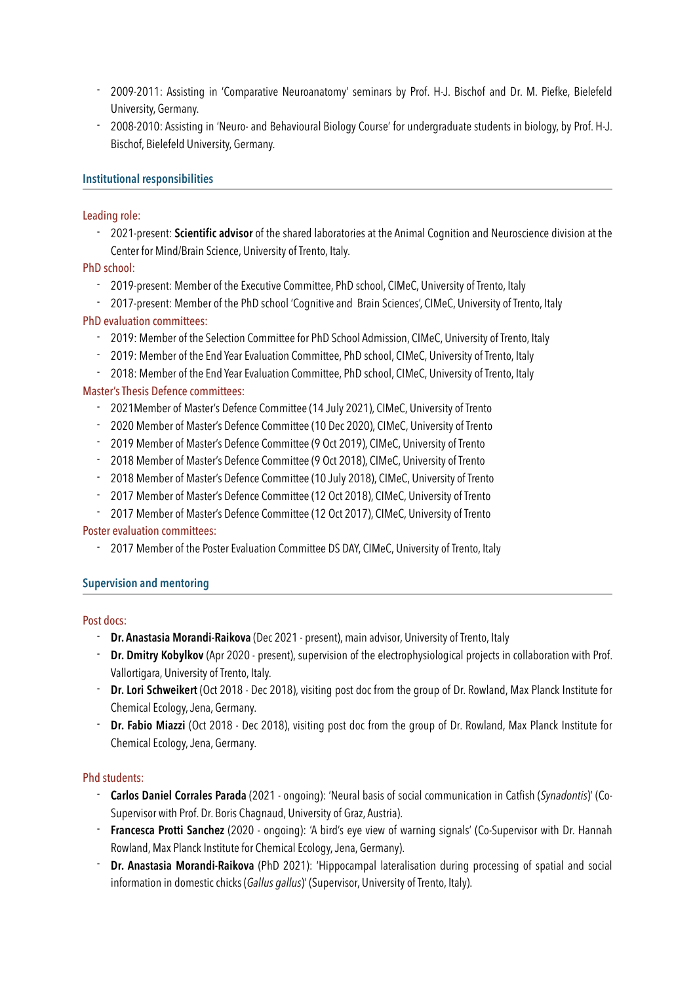- 2009-2011: Assisting in 'Comparative Neuroanatomy' seminars by Prof. H-J. Bischof and Dr. M. Piefke, Bielefeld University, Germany.
- 2008-2010: Assisting in 'Neuro- and Behavioural Biology Course' for undergraduate students in biology, by Prof. H-J. Bischof, Bielefeld University, Germany.

### **Institutional responsibilities**

### Leading role:

- 2021-present: **Scientific advisor** of the shared laboratories at the Animal Cognition and Neuroscience division at the Center for Mind/Brain Science, University of Trento, Italy.

# PhD school:

- 2019-present: Member of the Executive Committee, PhD school, CIMeC, University of Trento, Italy
- 2017-present: Member of the PhD school 'Cognitive and Brain Sciences', CIMeC, University of Trento, Italy

# PhD evaluation committees:

- 2019: Member of the Selection Committee for PhD School Admission, CIMeC, University of Trento, Italy
- 2019: Member of the End Year Evaluation Committee, PhD school, CIMeC, University of Trento, Italy
- 2018: Member of the End Year Evaluation Committee, PhD school, CIMeC, University of Trento, Italy

# Master's Thesis Defence committees:

- 2021Member of Master's Defence Committee (14 July 2021), CIMeC, University of Trento
- 2020 Member of Master's Defence Committee (10 Dec 2020), CIMeC, University of Trento
- 2019 Member of Master's Defence Committee (9 Oct 2019), CIMeC, University of Trento
- 2018 Member of Master's Defence Committee (9 Oct 2018), CIMeC, University of Trento
- 2018 Member of Master's Defence Committee (10 July 2018), CIMeC, University of Trento
- 2017 Member of Master's Defence Committee (12 Oct 2018), CIMeC, University of Trento
- 2017 Member of Master's Defence Committee (12 Oct 2017), CIMeC, University of Trento

### Poster evaluation committees:

- 2017 Member of the Poster Evaluation Committee DS DAY, CIMeC, University of Trento, Italy

### **Supervision and mentoring**

### Post docs:

- **Dr. Anastasia Morandi-Raikova** (Dec 2021 present), main advisor, University of Trento, Italy
- **Dr. Dmitry Kobylkov** (Apr 2020 present), supervision of the electrophysiological projects in collaboration with Prof. Vallortigara, University of Trento, Italy.
- **Dr. Lori Schweikert** (Oct 2018 Dec 2018), visiting post doc from the group of Dr. Rowland, Max Planck Institute for Chemical Ecology, Jena, Germany.
- **Dr. Fabio Miazzi** (Oct 2018 Dec 2018), visiting post doc from the group of Dr. Rowland, Max Planck Institute for Chemical Ecology, Jena, Germany.

### Phd students:

- **Carlos Daniel Corrales Parada** (2021 ongoing): 'Neural basis of social communication in Catfish (*Synadontis*)' (Co-Supervisor with Prof. Dr. Boris Chagnaud, University of Graz, Austria).
- **Francesca Protti Sanchez** (2020 ongoing): 'A bird's eye view of warning signals' (Co-Supervisor with Dr. Hannah Rowland, Max Planck Institute for Chemical Ecology, Jena, Germany).
- **Dr. Anastasia Morandi-Raikova** (PhD 2021): 'Hippocampal lateralisation during processing of spatial and social information in domestic chicks (*Gallus gallus*)' (Supervisor, University of Trento, Italy).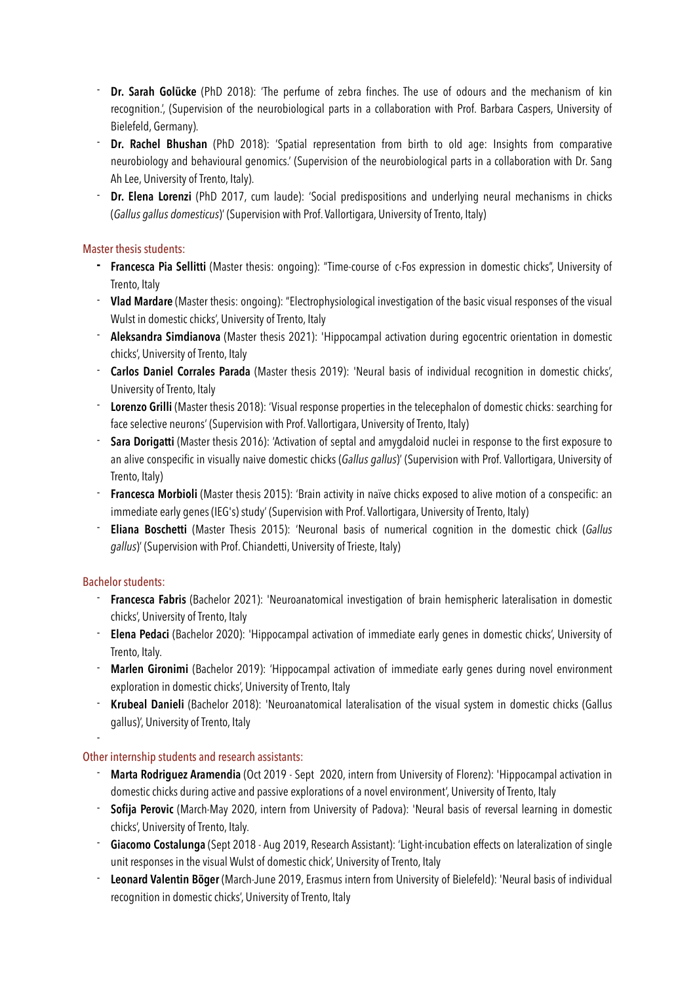- **Dr. Sarah Golücke** (PhD 2018): 'The perfume of zebra finches. The use of odours and the mechanism of kin recognition.', (Supervision of the neurobiological parts in a collaboration with Prof. Barbara Caspers, University of Bielefeld, Germany).
- **Dr. Rachel Bhushan** (PhD 2018): 'Spatial representation from birth to old age: Insights from comparative neurobiology and behavioural genomics.' (Supervision of the neurobiological parts in a collaboration with Dr. Sang Ah Lee, University of Trento, Italy).
- **Dr. Elena Lorenzi** (PhD 2017, cum laude): 'Social predispositions and underlying neural mechanisms in chicks (*Gallus gallus domesticus*)' (Supervision with Prof. Vallortigara, University of Trento, Italy)

# Master thesis students:

- **- Francesca Pia Sellitti** (Master thesis: ongoing): "Time-course of c-Fos expression in domestic chicks", University of Trento, Italy
- **Vlad Mardare** (Master thesis: ongoing): "Electrophysiological investigation of the basic visual responses of the visual Wulst in domestic chicks', University of Trento, Italy
- **Aleksandra Simdianova** (Master thesis 2021): 'Hippocampal activation during egocentric orientation in domestic chicks', University of Trento, Italy
- **Carlos Daniel Corrales Parada** (Master thesis 2019): 'Neural basis of individual recognition in domestic chicks', University of Trento, Italy
- **Lorenzo Grilli** (Master thesis 2018): 'Visual response properties in the telecephalon of domestic chicks: searching for face selective neurons' (Supervision with Prof. Vallortigara, University of Trento, Italy)
- **Sara Dorigatti** (Master thesis 2016): 'Activation of septal and amygdaloid nuclei in response to the first exposure to an alive conspecific in visually naive domestic chicks (*Gallus gallus*)' (Supervision with Prof. Vallortigara, University of Trento, Italy)
- **Francesca Morbioli** (Master thesis 2015): 'Brain activity in naïve chicks exposed to alive motion of a conspecific: an immediate early genes (IEG's) study' (Supervision with Prof. Vallortigara, University of Trento, Italy)
- **Eliana Boschetti** (Master Thesis 2015): 'Neuronal basis of numerical cognition in the domestic chick (*Gallus gallus*)' (Supervision with Prof. Chiandetti, University of Trieste, Italy)

### Bachelor students:

-

- **Francesca Fabris** (Bachelor 2021): 'Neuroanatomical investigation of brain hemispheric lateralisation in domestic chicks', University of Trento, Italy
- **Elena Pedaci** (Bachelor 2020): 'Hippocampal activation of immediate early genes in domestic chicks', University of Trento, Italy.
- **Marlen Gironimi** (Bachelor 2019): 'Hippocampal activation of immediate early genes during novel environment exploration in domestic chicks', University of Trento, Italy
- **Krubeal Danieli** (Bachelor 2018): 'Neuroanatomical lateralisation of the visual system in domestic chicks (Gallus gallus)', University of Trento, Italy

### Other internship students and research assistants:

- **Marta Rodriguez Aramendia** (Oct 2019 Sept 2020, intern from University of Florenz): 'Hippocampal activation in domestic chicks during active and passive explorations of a novel environment', University of Trento, Italy
- **Sofija Perovic** (March-May 2020, intern from University of Padova): 'Neural basis of reversal learning in domestic chicks', University of Trento, Italy.
- **Giacomo Costalunga** (Sept 2018 Aug 2019, Research Assistant): 'Light-incubation effects on lateralization of single unit responses in the visual Wulst of domestic chick', University of Trento, Italy
- **Leonard Valentin Böger** (March-June 2019, Erasmus intern from University of Bielefeld): 'Neural basis of individual recognition in domestic chicks', University of Trento, Italy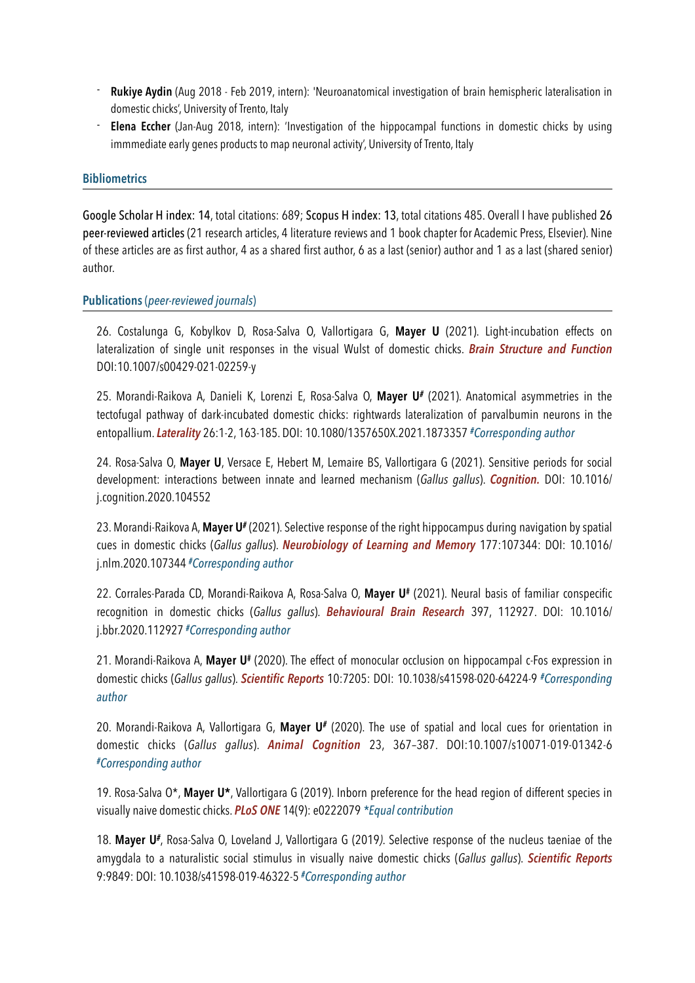- **Rukiye Aydin** (Aug 2018 Feb 2019, intern): 'Neuroanatomical investigation of brain hemispheric lateralisation in domestic chicks', University of Trento, Italy
- **Elena Eccher** (Jan-Aug 2018, intern): 'Investigation of the hippocampal functions in domestic chicks by using immmediate early genes products to map neuronal activity', University of Trento, Italy

#### **Bibliometrics**

Google Scholar H index: 14, total citations: 689; Scopus H index: 13, total citations 485. Overall I have published 26 peer-reviewed articles (21 research articles, 4 literature reviews and 1 book chapter for Academic Press, Elsevier). Nine of these articles are as first author, 4 as a shared first author, 6 as a last (senior) author and 1 as a last (shared senior) author.

#### **Publications** (*peer-reviewed journals*)

26. Costalunga G, Kobylkov D, Rosa-Salva O, Vallortigara G, **Mayer U** (2021). Light-incubation effects on lateralization of single unit responses in the visual Wulst of domestic chicks. *Brain Structure and Function*  DOI:10.1007/s00429-021-02259-y

25. Morandi-Raikova A, Danieli K, Lorenzi E, Rosa-Salva O, **Mayer U***#* (2021). Anatomical asymmetries in the tectofugal pathway of dark-incubated domestic chicks: rightwards lateralization of parvalbumin neurons in the entopallium. *Laterality* 26:1-2, 163-185. DOI: 10.1080/1357650X.2021.1873357 *#Corresponding author*

24. Rosa-Salva O, **Mayer U**, Versace E, Hebert M, Lemaire BS, Vallortigara G (2021). Sensitive periods for social development: interactions between innate and learned mechanism (*Gallus gallus*). *Cognition.* DOI: 10.1016/ j.cognition.2020.104552

23. Morandi-Raikova A, **Mayer U***#* (2021). Selective response of the right hippocampus during navigation by spatial cues in domestic chicks (*Gallus gallus*). *Neurobiology of Learning and Memory* 177:107344: DOI: 10.1016/ j.nlm.2020.107344 *#Corresponding author*

22. Corrales-Parada CD, Morandi-Raikova A, Rosa-Salva O, **Mayer U#** (2021). Neural basis of familiar conspecific recognition in domestic chicks (*Gallus gallus*). *Behavioural Brain Research* 397, 112927. DOI: 10.1016/ j.bbr.2020.112927 *#Corresponding author*

21. Morandi-Raikova A, **Mayer U#** (2020). The effect of monocular occlusion on hippocampal c-Fos expression in domestic chicks (*Gallus gallus*). *Scientific Reports* 10:7205: DOI: 10.1038/s41598-020-64224-9 *#Corresponding author*

20. Morandi-Raikova A, Vallortigara G, **Mayer U***#* (2020). The use of spatial and local cues for orientation in domestic chicks (*Gallus gallus*). *Animal Cognition* 23, 367–387. DOI:10.1007/s10071-019-01342-6 *#Corresponding author*

19. Rosa-Salva O\*, **Mayer U\***, Vallortigara G (2019). Inborn preference for the head region of different species in visually naive domestic chicks. *PLoS ONE* 14(9): e0222079 *\*Equal contribution*

18. **Mayer U***#*, Rosa-Salva O, Loveland J, Vallortigara G (2019*)*. Selective response of the nucleus taeniae of the amygdala to a naturalistic social stimulus in visually naive domestic chicks (*Gallus gallus*). *Scientific Reports*  9:9849: DOI: 10.1038/s41598-019-46322-5 *#Corresponding author*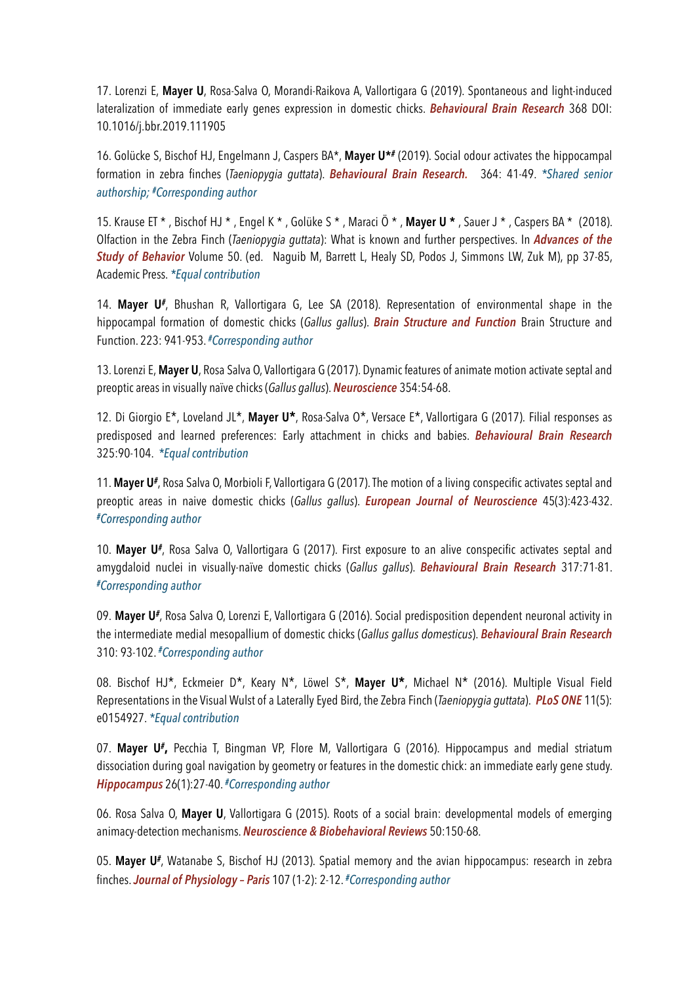17. Lorenzi E, **Mayer U**, Rosa-Salva O, Morandi-Raikova A, Vallortigara G (2019). Spontaneous and light-induced lateralization of immediate early genes expression in domestic chicks. *Behavioural Brain Research* 368 DOI: 10.1016/j.bbr.2019.111905

16. Golücke S, Bischof HJ, Engelmann J, Caspers BA\*, **Mayer U\****#* (2019). Social odour activates the hippocampal formation in zebra finches (*Taeniopygia guttata*). *Behavioural Brain Research.*  364: 41-49. *\*Shared senior authorship; #Corresponding author*

15. Krause ET \* , Bischof HJ \* , Engel K \* , Golüke S \* , Maraci Ö \* , **Mayer U \*** , Sauer J \* , Caspers BA \* (2018). Olfaction in the Zebra Finch (*Taeniopygia guttata*): What is known and further perspectives. In *Advances of the Study of Behavior* Volume 50. (ed. Naguib M, Barrett L, Healy SD, Podos J, Simmons LW, Zuk M), pp 37-85, Academic Press. *\*Equal contribution*

14. **Mayer U***#*, Bhushan R, Vallortigara G, Lee SA (2018). Representation of environmental shape in the hippocampal formation of domestic chicks (*Gallus gallus*). *Brain Structure and Function* Brain Structure and Function. 223: 941-953. *#Corresponding author*

13. Lorenzi E, **Mayer U**, Rosa Salva O, Vallortigara G (2017). Dynamic features of animate motion activate septal and preoptic areas in visually naïve chicks (*Gallus gallus*). *Neuroscience* 354:54-68.

12. Di Giorgio E\*, Loveland JL\*, **Mayer U\***, Rosa-Salva O\*, Versace E\*, Vallortigara G (2017). Filial responses as predisposed and learned preferences: Early attachment in chicks and babies. *Behavioural Brain Research*  325:90-104. *\*Equal contribution*

11. **Mayer U***#*, Rosa Salva O, Morbioli F, Vallortigara G (2017). The motion of a living conspecific activates septal and preoptic areas in naive domestic chicks (*Gallus gallus*). *European Journal of Neuroscience* 45(3):423-432. *#Corresponding author*

10. **Mayer U***#*, Rosa Salva O, Vallortigara G (2017). First exposure to an alive conspecific activates septal and amygdaloid nuclei in visually-naïve domestic chicks (*Gallus gallus*). *Behavioural Brain Research* 317:71-81. *#Corresponding author*

09. **Mayer U***#*, Rosa Salva O, Lorenzi E, Vallortigara G (2016). Social predisposition dependent neuronal activity in the intermediate medial mesopallium of domestic chicks (*Gallus gallus domesticus*). *Behavioural Brain Research*  310: 93-102. *#Corresponding author*

08. Bischof HJ\*, Eckmeier D\*, Keary N\*, Löwel S\*, **Mayer U\***, Michael N\* (2016). Multiple Visual Field Representations in the Visual Wulst of a Laterally Eyed Bird, the Zebra Finch (*Taeniopygia guttata*). *PLoS ONE* 11(5): e0154927. *\*Equal contribution* 

07. **Mayer U***#***,** Pecchia T, Bingman VP, Flore M, Vallortigara G (2016). Hippocampus and medial striatum dissociation during goal navigation by geometry or features in the domestic chick: an immediate early gene study. *Hippocampus* 26(1):27-40. *#Corresponding author*

06. Rosa Salva O, **Mayer U**, Vallortigara G (2015). Roots of a social brain: developmental models of emerging animacy-detection mechanisms. *Neuroscience & Biobehavioral Reviews* 50:150-68.

05. **Mayer U***#*, Watanabe S, Bischof HJ (2013). Spatial memory and the avian hippocampus: research in zebra finches. *Journal of Physiology – Paris* 107 (1-2): 2-12. *#Corresponding author*